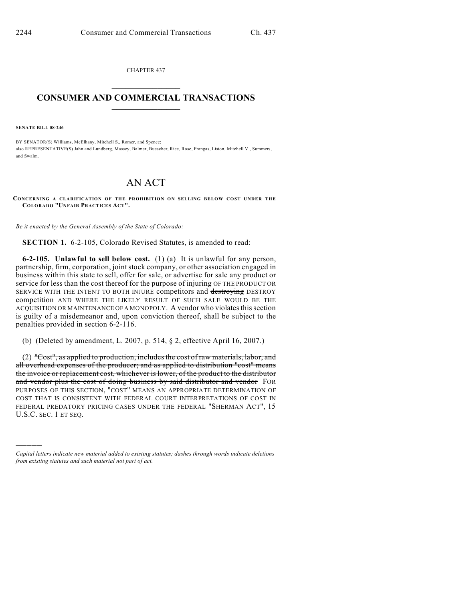CHAPTER 437  $\mathcal{L}_\text{max}$  . The set of the set of the set of the set of the set of the set of the set of the set of the set of the set of the set of the set of the set of the set of the set of the set of the set of the set of the set

## **CONSUMER AND COMMERCIAL TRANSACTIONS**  $\frac{1}{2}$  ,  $\frac{1}{2}$  ,  $\frac{1}{2}$  ,  $\frac{1}{2}$  ,  $\frac{1}{2}$  ,  $\frac{1}{2}$

**SENATE BILL 08-246**

)))))

BY SENATOR(S) Williams, McElhany, Mitchell S., Romer, and Spence; also REPRESENTATIVE(S) Jahn and Lundberg, Massey, Balmer, Buescher, Rice, Rose, Frangas, Liston, Mitchell V., Summers, and Swalm.

## AN ACT

**CONCERNING A CLARIFICATION OF THE PROHIBITION ON SELLING BELOW COST UNDER THE COLORADO "UNFAIR PRACTICES ACT".**

*Be it enacted by the General Assembly of the State of Colorado:*

**SECTION 1.** 6-2-105, Colorado Revised Statutes, is amended to read:

**6-2-105. Unlawful to sell below cost.** (1) (a) It is unlawful for any person, partnership, firm, corporation, joint stock company, or other association engaged in business within this state to sell, offer for sale, or advertise for sale any product or service for less than the cost thereof for the purpose of injuring OF THE PRODUCT OR SERVICE WITH THE INTENT TO BOTH INJURE competitors and destroying DESTROY competition AND WHERE THE LIKELY RESULT OF SUCH SALE WOULD BE THE ACQUISITION OR MAINTENANCE OF A MONOPOLY. A vendor who violates this section is guilty of a misdemeanor and, upon conviction thereof, shall be subject to the penalties provided in section 6-2-116.

(b) (Deleted by amendment, L. 2007, p. 514, § 2, effective April 16, 2007.)

(2) "Cost", as applied to production, includes the cost of raw materials, labor, and all overhead expenses of the producer; and as applied to distribution "cost" means the invoice or replacement cost, whichever is lower, of the product to the distributor and vendor plus the cost of doing business by said distributor and vendor FOR PURPOSES OF THIS SECTION, "COST" MEANS AN APPROPRIATE DETERMINATION OF COST THAT IS CONSISTENT WITH FEDERAL COURT INTERPRETATIONS OF COST IN FEDERAL PREDATORY PRICING CASES UNDER THE FEDERAL "SHERMAN ACT", 15 U.S.C. SEC. 1 ET SEQ.

*Capital letters indicate new material added to existing statutes; dashes through words indicate deletions from existing statutes and such material not part of act.*